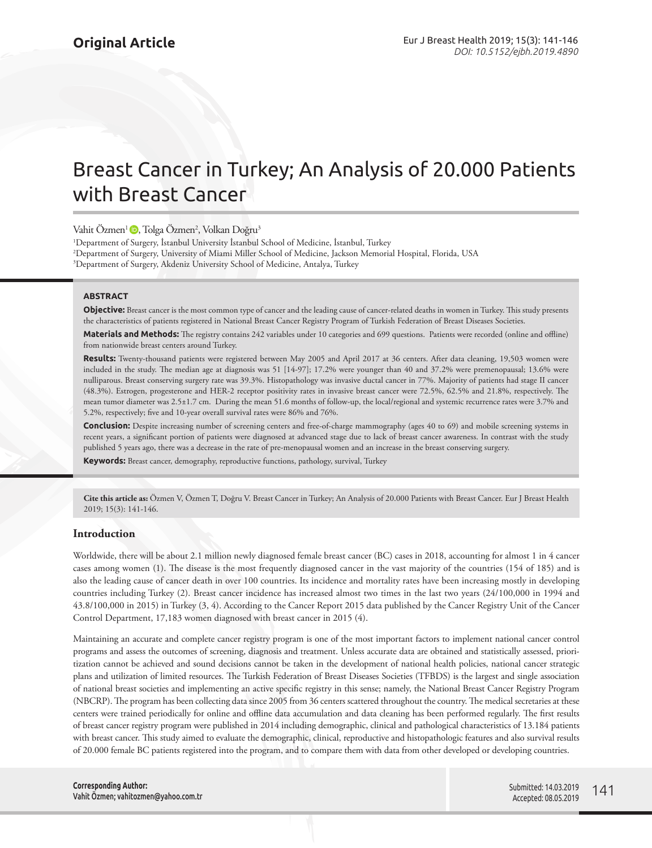# Breast Cancer in Turkey; An Analysis of 20.000 Patients with Breast Cancer

Vahit Özmen<sup>1</sup> D, Tolga Özmen<sup>2</sup>, Volkan Doğru<sup>3</sup>

1 Department of Surgery, İstanbul University İstanbul School of Medicine, İstanbul, Turkey 2 Department of Surgery, University of Miami Miller School of Medicine, Jackson Memorial Hospital, Florida, USA 3 Department of Surgery, Akdeniz University School of Medicine, Antalya, Turkey

#### **ABSTRACT**

**Objective:** Breast cancer is the most common type of cancer and the leading cause of cancer-related deaths in women in Turkey. This study presents the characteristics of patients registered in National Breast Cancer Registry Program of Turkish Federation of Breast Diseases Societies.

**Materials and Methods:** The registry contains 242 variables under 10 categories and 699 questions. Patients were recorded (online and offline) from nationwide breast centers around Turkey.

**Results:** Twenty-thousand patients were registered between May 2005 and April 2017 at 36 centers. After data cleaning, 19,503 women were included in the study. The median age at diagnosis was 51 [14-97]; 17.2% were younger than 40 and 37.2% were premenopausal; 13.6% were nulliparous. Breast conserving surgery rate was 39.3%. Histopathology was invasive ductal cancer in 77%. Majority of patients had stage II cancer (48.3%). Estrogen, progesterone and HER-2 receptor positivity rates in invasive breast cancer were 72.5%, 62.5% and 21.8%, respectively. The mean tumor diameter was 2.5±1.7 cm. During the mean 51.6 months of follow-up, the local/regional and systemic recurrence rates were 3.7% and 5.2%, respectively; five and 10-year overall survival rates were 86% and 76%.

**Conclusion:** Despite increasing number of screening centers and free-of-charge mammography (ages 40 to 69) and mobile screening systems in recent years, a significant portion of patients were diagnosed at advanced stage due to lack of breast cancer awareness. In contrast with the study published 5 years ago, there was a decrease in the rate of pre-menopausal women and an increase in the breast conserving surgery.

**Keywords:** Breast cancer, demography, reproductive functions, pathology, survival, Turkey

**Cite this article as:** Özmen V, Özmen T, Doğru V. Breast Cancer in Turkey; An Analysis of 20.000 Patients with Breast Cancer. Eur J Breast Health 2019; 15(3): 141-146.

## **Introduction**

Worldwide, there will be about 2.1 million newly diagnosed female breast cancer (BC) cases in 2018, accounting for almost 1 in 4 cancer cases among women (1). The disease is the most frequently diagnosed cancer in the vast majority of the countries (154 of 185) and is also the leading cause of cancer death in over 100 countries. Its incidence and mortality rates have been increasing mostly in developing countries including Turkey (2). Breast cancer incidence has increased almost two times in the last two years (24/100,000 in 1994 and 43.8/100,000 in 2015) in Turkey (3, 4). According to the Cancer Report 2015 data published by the Cancer Registry Unit of the Cancer Control Department, 17,183 women diagnosed with breast cancer in 2015 (4).

Maintaining an accurate and complete cancer registry program is one of the most important factors to implement national cancer control programs and assess the outcomes of screening, diagnosis and treatment. Unless accurate data are obtained and statistically assessed, prioritization cannot be achieved and sound decisions cannot be taken in the development of national health policies, national cancer strategic plans and utilization of limited resources. The Turkish Federation of Breast Diseases Societies (TFBDS) is the largest and single association of national breast societies and implementing an active specific registry in this sense; namely, the National Breast Cancer Registry Program (NBCRP). The program has been collecting data since 2005 from 36 centers scattered throughout the country. The medical secretaries at these centers were trained periodically for online and offline data accumulation and data cleaning has been performed regularly. The first results of breast cancer registry program were published in 2014 including demographic, clinical and pathological characteristics of 13.184 patients with breast cancer. This study aimed to evaluate the demographic, clinical, reproductive and histopathologic features and also survival results of 20.000 female BC patients registered into the program, and to compare them with data from other developed or developing countries.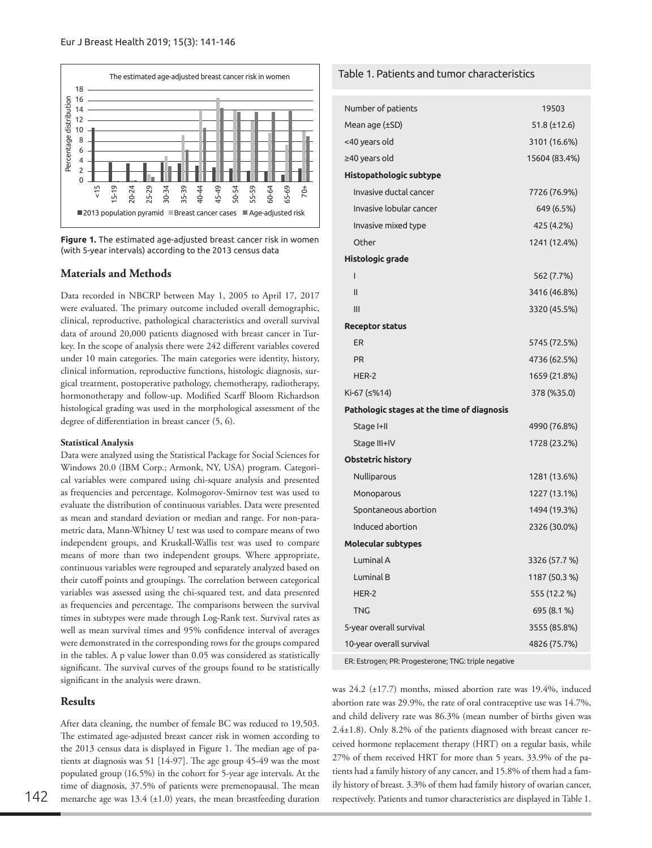

**Figure 1.** The estimated age-adjusted breast cancer risk in women (with 5-year intervals) according to the 2013 census data

#### **Materials and Methods**

Data recorded in NBCRP between May 1, 2005 to April 17, 2017 were evaluated. The primary outcome included overall demographic, clinical, reproductive, pathological characteristics and overall survival data of around 20,000 patients diagnosed with breast cancer in Turkey. In the scope of analysis there were 242 different variables covered under 10 main categories. The main categories were identity, history, clinical information, reproductive functions, histologic diagnosis, surgical treatment, postoperative pathology, chemotherapy, radiotherapy, hormonotherapy and follow-up. Modified Scarff Bloom Richardson histological grading was used in the morphological assessment of the degree of differentiation in breast cancer (5, 6).

#### **Statistical Analysis**

Data were analyzed using the Statistical Package for Social Sciences for Windows 20.0 (IBM Corp.; Armonk, NY, USA) program. Categorical variables were compared using chi-square analysis and presented as frequencies and percentage. Kolmogorov-Smirnov test was used to evaluate the distribution of continuous variables. Data were presented as mean and standard deviation or median and range. For non-parametric data, Mann-Whitney U test was used to compare means of two independent groups, and Kruskall-Wallis test was used to compare means of more than two independent groups. Where appropriate, continuous variables were regrouped and separately analyzed based on their cutoff points and groupings. The correlation between categorical variables was assessed using the chi-squared test, and data presented as frequencies and percentage. The comparisons between the survival times in subtypes were made through Log-Rank test. Survival rates as well as mean survival times and 95% confidence interval of averages were demonstrated in the corresponding rows for the groups compared in the tables. A p value lower than 0.05 was considered as statistically significant. The survival curves of the groups found to be statistically significant in the analysis were drawn.

#### **Results**

After data cleaning, the number of female BC was reduced to 19,503. The estimated age-adjusted breast cancer risk in women according to the 2013 census data is displayed in Figure 1. The median age of patients at diagnosis was 51 [14-97]. The age group 45-49 was the most populated group (16.5%) in the cohort for 5-year age intervals. At the time of diagnosis, 37.5% of patients were premenopausal. The mean menarche age was  $13.4$  ( $\pm 1.0$ ) years, the mean breastfeeding duration  $142$  menarche age was 13.4 (±1.0) years, the mean breastfeeding duration respectively. Patients and tumor characteristics are displayed in Table 1.

## Table 1. Patients and tumor characteristics

| Number of patients                         | 19503         |
|--------------------------------------------|---------------|
| Mean age (±SD)                             | 51.8 (±12.6)  |
| <40 years old                              | 3101 (16.6%)  |
| ≥40 years old                              | 15604 (83.4%) |
| Histopathologic subtype                    |               |
| Invasive ductal cancer                     | 7726 (76.9%)  |
| Invasive lobular cancer                    | 649 (6.5%)    |
| Invasive mixed type                        | 425 (4.2%)    |
| Other                                      | 1241 (12.4%)  |
| Histologic grade                           |               |
| ı                                          | 562 (7.7%)    |
| $\mathsf{II}$                              | 3416 (46.8%)  |
| III                                        | 3320 (45.5%)  |
| <b>Receptor status</b>                     |               |
| ER                                         | 5745 (72.5%)  |
| <b>PR</b>                                  | 4736 (62.5%)  |
| HER-2                                      | 1659 (21.8%)  |
| Ki-67 (≤%14)                               | 378 (%35.0)   |
| Pathologic stages at the time of diagnosis |               |
| Stage I+II                                 | 4990 (76.8%)  |
| Stage III+IV                               | 1728 (23.2%)  |
| <b>Obstetric history</b>                   |               |
| Nulliparous                                | 1281 (13.6%)  |
| Monoparous                                 | 1227 (13.1%)  |
| Spontaneous abortion                       | 1494 (19.3%)  |
| Induced abortion                           | 2326 (30.0%)  |
| Molecular subtypes                         |               |
| Luminal A                                  | 3326 (57.7 %) |
| Luminal B                                  | 1187 (50.3 %) |
| HER-2                                      | 555 (12.2 %)  |
| <b>TNG</b>                                 | 695 (8.1 %)   |
| 5-year overall survival                    | 3555 (85.8%)  |
| 10-year overall survival                   | 4826 (75.7%)  |

ER: Estrogen; PR: Progesterone; TNG: triple negative

was 24.2 (±17.7) months, missed abortion rate was 19.4%, induced abortion rate was 29.9%, the rate of oral contraceptive use was 14.7%, and child delivery rate was 86.3% (mean number of births given was 2.4±1.8). Only 8.2% of the patients diagnosed with breast cancer received hormone replacement therapy (HRT) on a regular basis, while 27% of them received HRT for more than 5 years. 33.9% of the patients had a family history of any cancer, and 15.8% of them had a family history of breast. 3.3% of them had family history of ovarian cancer,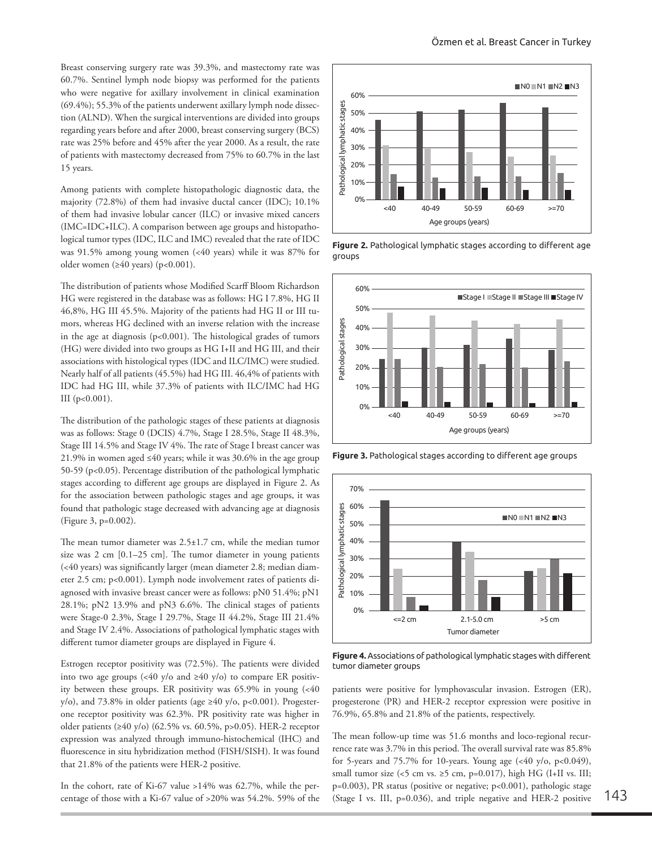Breast conserving surgery rate was 39.3%, and mastectomy rate was 60.7%. Sentinel lymph node biopsy was performed for the patients who were negative for axillary involvement in clinical examination (69.4%); 55.3% of the patients underwent axillary lymph node dissection (ALND). When the surgical interventions are divided into groups regarding years before and after 2000, breast conserving surgery (BCS) rate was 25% before and 45% after the year 2000. As a result, the rate of patients with mastectomy decreased from 75% to 60.7% in the last 15 years.

Among patients with complete histopathologic diagnostic data, the majority (72.8%) of them had invasive ductal cancer (IDC); 10.1% of them had invasive lobular cancer (ILC) or invasive mixed cancers (IMC=IDC+ILC). A comparison between age groups and histopathological tumor types (IDC, ILC and IMC) revealed that the rate of IDC was 91.5% among young women (<40 years) while it was 87% for older women (≥40 years) (p<0.001).

The distribution of patients whose Modified Scarff Bloom Richardson HG were registered in the database was as follows: HG I 7.8%, HG II 46,8%, HG III 45.5%. Majority of the patients had HG II or III tumors, whereas HG declined with an inverse relation with the increase in the age at diagnosis ( $p<0.001$ ). The histological grades of tumors (HG) were divided into two groups as HG I+II and HG III, and their associations with histological types (IDC and ILC/IMC) were studied. Nearly half of all patients (45.5%) had HG III. 46,4% of patients with IDC had HG III, while 37.3% of patients with ILC/IMC had HG III  $(p<0.001)$ .

The distribution of the pathologic stages of these patients at diagnosis was as follows: Stage 0 (DCIS) 4.7%, Stage I 28.5%, Stage II 48.3%, Stage III 14.5% and Stage IV 4%. The rate of Stage I breast cancer was 21.9% in women aged ≤40 years; while it was 30.6% in the age group 50-59 (p<0.05). Percentage distribution of the pathological lymphatic stages according to different age groups are displayed in Figure 2. As for the association between pathologic stages and age groups, it was found that pathologic stage decreased with advancing age at diagnosis (Figure 3, p=0.002).

The mean tumor diameter was 2.5±1.7 cm, while the median tumor size was 2 cm [0.1–25 cm]. The tumor diameter in young patients (<40 years) was significantly larger (mean diameter 2.8; median diameter 2.5 cm; p<0.001). Lymph node involvement rates of patients diagnosed with invasive breast cancer were as follows: pN0 51.4%; pN1 28.1%; pN2 13.9% and pN3 6.6%. The clinical stages of patients were Stage-0 2.3%, Stage I 29.7%, Stage II 44.2%, Stage III 21.4% and Stage IV 2.4%. Associations of pathological lymphatic stages with different tumor diameter groups are displayed in Figure 4.

Estrogen receptor positivity was (72.5%). The patients were divided into two age groups (<40 y/o and  $\geq$ 40 y/o) to compare ER positivity between these groups. ER positivity was 65.9% in young (<40 y/o), and 73.8% in older patients (age  $\geq$ 40 y/o, p<0.001). Progesterone receptor positivity was 62.3%. PR positivity rate was higher in older patients (≥40 y/o) (62.5% vs. 60.5%, p>0.05). HER-2 receptor expression was analyzed through immuno-histochemical (IHC) and fluorescence in situ hybridization method (FISH/SISH). It was found that 21.8% of the patients were HER-2 positive.

In the cohort, rate of Ki-67 value >14% was 62.7%, while the percentage of those with a Ki-67 value of >20% was 54.2%. 59% of the



**Figure 2.** Pathological lymphatic stages according to different age groups





**Figure 4.** Associations of pathological lymphatic stages with different tumor diameter groups

patients were positive for lymphovascular invasion. Estrogen (ER), progesterone (PR) and HER-2 receptor expression were positive in 76.9%, 65.8% and 21.8% of the patients, respectively.

The mean follow-up time was 51.6 months and loco-regional recurrence rate was 3.7% in this period. The overall survival rate was 85.8% for 5-years and 75.7% for 10-years. Young age  $(\leq 40 \text{ y/o}, \text{ p}<0.049)$ , small tumor size (<5 cm vs.  $\geq$ 5 cm, p=0.017), high HG (I+II vs. III; p=0.003), PR status (positive or negative; p<0.001), pathologic stage (Stage I vs. III, p=0.036), and triple negative and HER-2 positive 143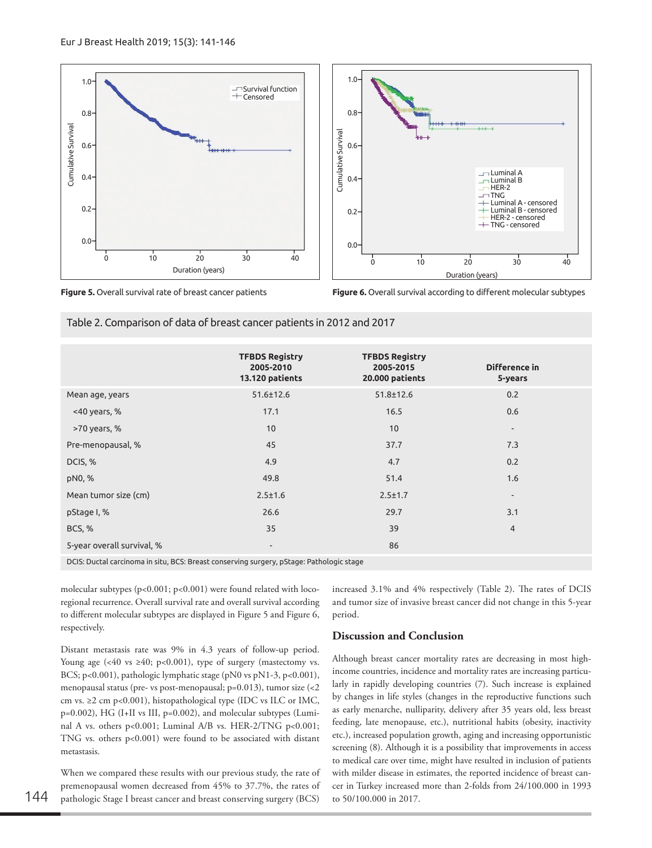



**Figure 6.** Overall survival according to different molecular subtypes

Table 2. Comparison of data of breast cancer patients in 2012 and 2017

|                                                                                         | <b>TFBDS Registry</b><br>2005-2010<br>13.120 patients | <b>TFBDS Registry</b><br>2005-2015<br>20.000 patients | Difference in<br>5-years |
|-----------------------------------------------------------------------------------------|-------------------------------------------------------|-------------------------------------------------------|--------------------------|
| Mean age, years                                                                         | $51.6 \pm 12.6$                                       | $51.8 \pm 12.6$                                       | 0.2                      |
| $<$ 40 years, %                                                                         | 17.1                                                  | 16.5                                                  | 0.6                      |
| >70 years, %                                                                            | 10                                                    | 10                                                    | $\overline{\phantom{a}}$ |
| Pre-menopausal, %                                                                       | 45                                                    | 37.7                                                  | 7.3                      |
| DCIS, %                                                                                 | 4.9                                                   | 4.7                                                   | 0.2                      |
| pN0, %                                                                                  | 49.8                                                  | 51.4                                                  | 1.6                      |
| Mean tumor size (cm)                                                                    | $2.5 \pm 1.6$                                         | $2.5 \pm 1.7$                                         | $\overline{\phantom{a}}$ |
| pStage I, %                                                                             | 26.6                                                  | 29.7                                                  | 3.1                      |
| <b>BCS, %</b>                                                                           | 35                                                    | 39                                                    | $\overline{4}$           |
| 5-year overall survival, %                                                              | $\overline{\phantom{a}}$                              | 86                                                    |                          |
| DCIC: Ductal cassingma in situ PCC: Preast consequing suspeny of tage: Pathologic stage |                                                       |                                                       |                          |

DCIS: Ductal carcinoma in situ, BCS: Breast conserving surgery, pStage: Pathologic stage

molecular subtypes (p<0.001; p<0.001) were found related with locoregional recurrence. Overall survival rate and overall survival according to different molecular subtypes are displayed in Figure 5 and Figure 6, respectively.

Distant metastasis rate was 9% in 4.3 years of follow-up period. Young age (<40 vs  $\geq 40$ ; p<0.001), type of surgery (mastectomy vs. BCS; p<0.001), pathologic lymphatic stage (pN0 vs pN1-3, p<0.001), menopausal status (pre- vs post-menopausal; p=0.013), tumor size (<2 cm vs.  $\geq$ 2 cm p<0.001), histopathological type (IDC vs ILC or IMC, p=0.002), HG (I+II vs III, p=0.002), and molecular subtypes (Luminal A vs. others p<0.001; Luminal A/B vs. HER-2/TNG p<0.001; TNG vs. others p<0.001) were found to be associated with distant metastasis.

When we compared these results with our previous study, the rate of premenopausal women decreased from 45% to 37.7%, the rates of 144 pathologic Stage I breast cancer and breast conserving surgery (BCS) to 50/100.000 in 2017.

increased 3.1% and 4% respectively (Table 2). The rates of DCIS and tumor size of invasive breast cancer did not change in this 5-year period.

## **Discussion and Conclusion**

Although breast cancer mortality rates are decreasing in most highincome countries, incidence and mortality rates are increasing particularly in rapidly developing countries (7). Such increase is explained by changes in life styles (changes in the reproductive functions such as early menarche, nulliparity, delivery after 35 years old, less breast feeding, late menopause, etc.), nutritional habits (obesity, inactivity etc.), increased population growth, aging and increasing opportunistic screening (8). Although it is a possibility that improvements in access to medical care over time, might have resulted in inclusion of patients with milder disease in estimates, the reported incidence of breast cancer in Turkey increased more than 2-folds from 24/100.000 in 1993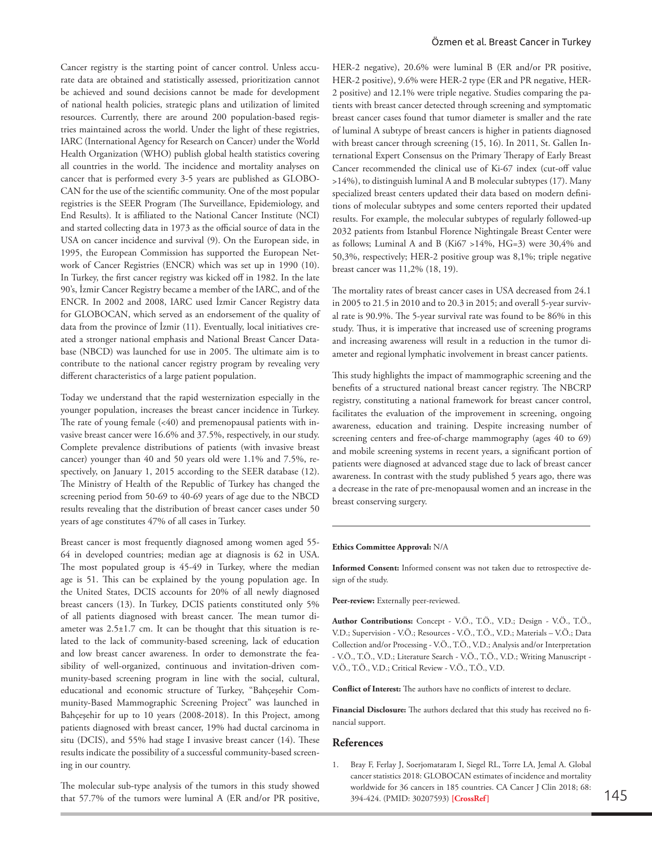Cancer registry is the starting point of cancer control. Unless accurate data are obtained and statistically assessed, prioritization cannot be achieved and sound decisions cannot be made for development of national health policies, strategic plans and utilization of limited resources. Currently, there are around 200 population-based registries maintained across the world. Under the light of these registries, IARC (International Agency for Research on Cancer) under the World Health Organization (WHO) publish global health statistics covering all countries in the world. The incidence and mortality analyses on cancer that is performed every 3-5 years are published as GLOBO-CAN for the use of the scientific community. One of the most popular registries is the SEER Program (The Surveillance, Epidemiology, and End Results). It is affiliated to the National Cancer Institute (NCI) and started collecting data in 1973 as the official source of data in the USA on cancer incidence and survival (9). On the European side, in 1995, the European Commission has supported the European Network of Cancer Registries (ENCR) which was set up in 1990 (10). In Turkey, the first cancer registry was kicked off in 1982. In the late 90's, İzmir Cancer Registry became a member of the IARC, and of the ENCR. In 2002 and 2008, IARC used İzmir Cancer Registry data for GLOBOCAN, which served as an endorsement of the quality of data from the province of İzmir (11). Eventually, local initiatives created a stronger national emphasis and National Breast Cancer Database (NBCD) was launched for use in 2005. The ultimate aim is to contribute to the national cancer registry program by revealing very different characteristics of a large patient population.

Today we understand that the rapid westernization especially in the younger population, increases the breast cancer incidence in Turkey. The rate of young female  $( $40$ )$  and premenopausal patients with invasive breast cancer were 16.6% and 37.5%, respectively, in our study. Complete prevalence distributions of patients (with invasive breast cancer) younger than 40 and 50 years old were 1.1% and 7.5%, respectively, on January 1, 2015 according to the SEER database (12). The Ministry of Health of the Republic of Turkey has changed the screening period from 50-69 to 40-69 years of age due to the NBCD results revealing that the distribution of breast cancer cases under 50 years of age constitutes 47% of all cases in Turkey.

Breast cancer is most frequently diagnosed among women aged 55- 64 in developed countries; median age at diagnosis is 62 in USA. The most populated group is 45-49 in Turkey, where the median age is 51. This can be explained by the young population age. In the United States, DCIS accounts for 20% of all newly diagnosed breast cancers (13). In Turkey, DCIS patients constituted only 5% of all patients diagnosed with breast cancer. The mean tumor diameter was 2.5±1.7 cm. It can be thought that this situation is related to the lack of community-based screening, lack of education and low breast cancer awareness. In order to demonstrate the feasibility of well-organized, continuous and invitation-driven community-based screening program in line with the social, cultural, educational and economic structure of Turkey, "Bahçeşehir Community-Based Mammographic Screening Project" was launched in Bahçeşehir for up to 10 years (2008-2018). In this Project, among patients diagnosed with breast cancer, 19% had ductal carcinoma in situ (DCIS), and 55% had stage I invasive breast cancer (14). These results indicate the possibility of a successful community-based screening in our country.

The molecular sub-type analysis of the tumors in this study showed that 57.7% of the tumors were luminal A (ER and/or PR positive, HER-2 negative), 20.6% were luminal B (ER and/or PR positive, HER-2 positive), 9.6% were HER-2 type (ER and PR negative, HER-2 positive) and 12.1% were triple negative. Studies comparing the patients with breast cancer detected through screening and symptomatic breast cancer cases found that tumor diameter is smaller and the rate of luminal A subtype of breast cancers is higher in patients diagnosed with breast cancer through screening (15, 16). In 2011, St. Gallen International Expert Consensus on the Primary Therapy of Early Breast Cancer recommended the clinical use of Ki-67 index (cut-off value >14%), to distinguish luminal A and B molecular subtypes (17). Many specialized breast centers updated their data based on modern definitions of molecular subtypes and some centers reported their updated results. For example, the molecular subtypes of regularly followed-up 2032 patients from Istanbul Florence Nightingale Breast Center were as follows; Luminal A and B (Ki67 >14%, HG=3) were 30,4% and 50,3%, respectively; HER-2 positive group was 8,1%; triple negative breast cancer was 11,2% (18, 19).

The mortality rates of breast cancer cases in USA decreased from 24.1 in 2005 to 21.5 in 2010 and to 20.3 in 2015; and overall 5-year survival rate is 90.9%. The 5-year survival rate was found to be 86% in this study. Thus, it is imperative that increased use of screening programs and increasing awareness will result in a reduction in the tumor diameter and regional lymphatic involvement in breast cancer patients.

This study highlights the impact of mammographic screening and the benefits of a structured national breast cancer registry. The NBCRP registry, constituting a national framework for breast cancer control, facilitates the evaluation of the improvement in screening, ongoing awareness, education and training. Despite increasing number of screening centers and free-of-charge mammography (ages 40 to 69) and mobile screening systems in recent years, a significant portion of patients were diagnosed at advanced stage due to lack of breast cancer awareness. In contrast with the study published 5 years ago, there was a decrease in the rate of pre-menopausal women and an increase in the breast conserving surgery.

#### **Ethics Committee Approval:** N/A

**Informed Consent:** Informed consent was not taken due to retrospective design of the study.

Peer-review: Externally peer-reviewed.

**Author Contributions:** Concept - V.Ö., T.Ö., V.D.; Design - V.Ö., T.Ö., V.D.; Supervision - V.Ö.; Resources - V.Ö., T.Ö., V.D.; Materials – V.Ö.; Data Collection and/or Processing - V.Ö., T.Ö., V.D.; Analysis and/or Interpretation - V.Ö., T.Ö., V.D.; Literature Search - V.Ö., T.Ö., V.D.; Writing Manuscript - V.Ö., T.Ö., V.D.; Critical Review - V.Ö., T.Ö., V.D.

**Conflict of Interest:** The authors have no conflicts of interest to declare.

**Financial Disclosure:** The authors declared that this study has received no financial support.

#### **References**

1. Bray F, Ferlay J, Soerjomataram I, Siegel RL, Torre LA, Jemal A. Global cancer statistics 2018: GLOBOCAN estimates of incidence and mortality worldwide for 36 cancers in 185 countries. CA Cancer J Clin 2018; 68: 394-424. (PMID: 30207593) **[\[CrossRef\]](https://doi.org/10.3322/caac.21492)** 145